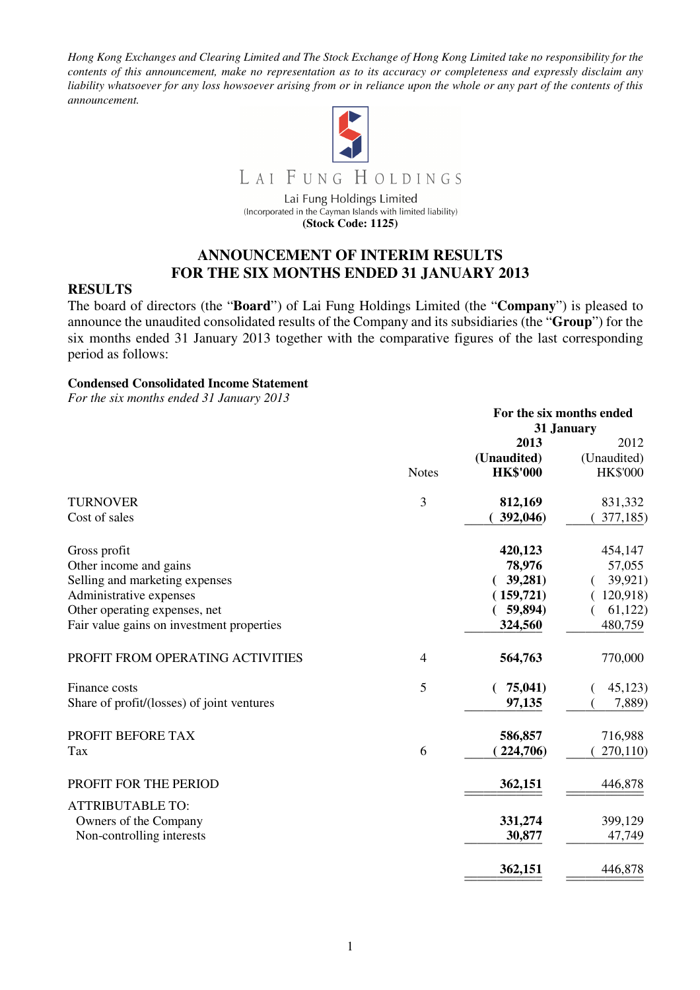*Hong Kong Exchanges and Clearing Limited and The Stock Exchange of Hong Kong Limited take no responsibility for the contents of this announcement, make no representation as to its accuracy or completeness and expressly disclaim any liability whatsoever for any loss howsoever arising from or in reliance upon the whole or any part of the contents of this announcement.* 



LAI FUNG HOLDINGS

Lai Fung Holdings Limited (Incorporated in the Cayman Islands with limited liability) **(Stock Code: 1125)** 

## **ANNOUNCEMENT OF INTERIM RESULTS FOR THE SIX MONTHS ENDED 31 JANUARY 2013**

### **RESULTS**

The board of directors (the "**Board**") of Lai Fung Holdings Limited (the "**Company**") is pleased to announce the unaudited consolidated results of the Company and its subsidiaries (the "**Group**") for the six months ended 31 January 2013 together with the comparative figures of the last corresponding period as follows:

#### **Condensed Consolidated Income Statement**

*For the six months ended 31 January 2013* 

|                                            |              | For the six months ended |                 |
|--------------------------------------------|--------------|--------------------------|-----------------|
|                                            |              |                          | 31 January      |
|                                            |              | 2013                     | 2012            |
|                                            |              | (Unaudited)              | (Unaudited)     |
|                                            | <b>Notes</b> | <b>HK\$'000</b>          | <b>HK\$'000</b> |
| <b>TURNOVER</b>                            | 3            | 812,169                  | 831,332         |
| Cost of sales                              |              | 392,046)                 | 377,185)        |
| Gross profit                               |              | 420,123                  | 454,147         |
| Other income and gains                     |              | 78,976                   | 57,055          |
| Selling and marketing expenses             |              | 39,281)                  | 39,921)         |
| Administrative expenses                    |              | (159, 721)               | 120,918)        |
| Other operating expenses, net              |              | 59,894)                  | 61,122          |
| Fair value gains on investment properties  |              | 324,560                  | 480,759         |
| PROFIT FROM OPERATING ACTIVITIES           | 4            | 564,763                  | 770,000         |
| Finance costs                              | 5            | 75,041)                  | 45,123          |
| Share of profit/(losses) of joint ventures |              | 97,135                   | 7,889)          |
| PROFIT BEFORE TAX                          |              | 586,857                  | 716,988         |
| Tax                                        | 6            | 224,706)                 | 270,110)        |
| PROFIT FOR THE PERIOD                      |              | 362,151                  | 446,878         |
| <b>ATTRIBUTABLE TO:</b>                    |              |                          |                 |
| Owners of the Company                      |              | 331,274                  | 399,129         |
| Non-controlling interests                  |              | 30,877                   | 47,749          |
|                                            |              | 362,151                  | 446,878         |
|                                            |              |                          |                 |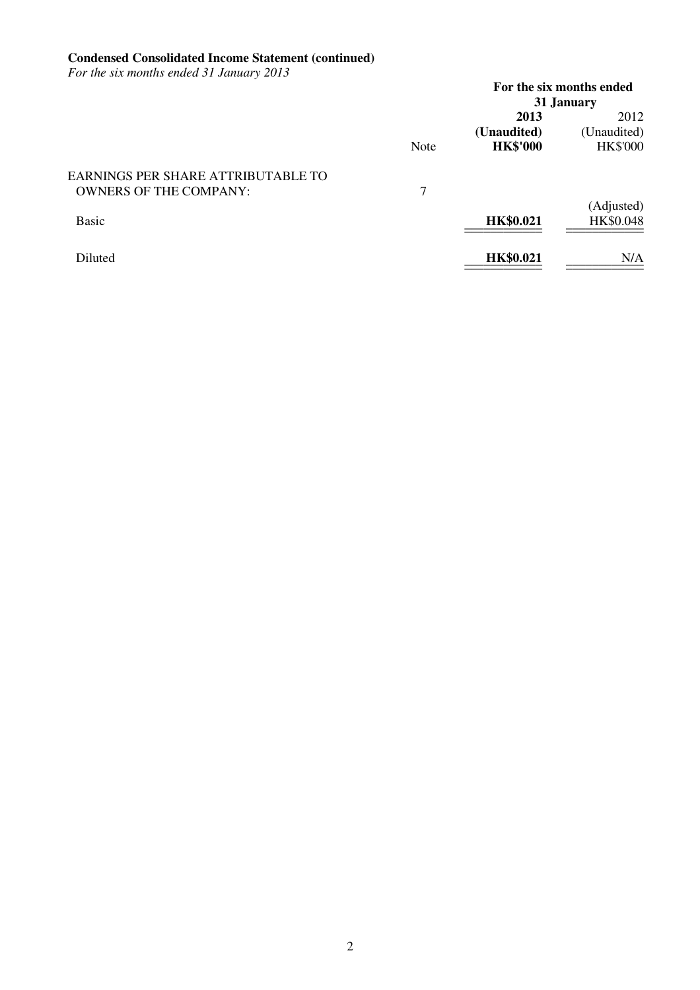#### **Condensed Consolidated Income Statement (continued)**

*For the six months ended 31 January 2013* 

|                                    |             |                  | For the six months ended |
|------------------------------------|-------------|------------------|--------------------------|
|                                    |             |                  | 31 January               |
|                                    |             | 2013             | 2012                     |
|                                    |             | (Unaudited)      | (Unaudited)              |
|                                    | <b>Note</b> | <b>HK\$'000</b>  | <b>HK\$'000</b>          |
| EARNINGS PER SHARE ATTRIBUTABLE TO |             |                  |                          |
| <b>OWNERS OF THE COMPANY:</b>      | 7           |                  |                          |
|                                    |             |                  | (Adjusted)               |
| Basic                              |             | <b>HK\$0.021</b> | HK\$0.048                |
| Diluted                            |             | <b>HK\$0.021</b> | N/A                      |
|                                    |             |                  |                          |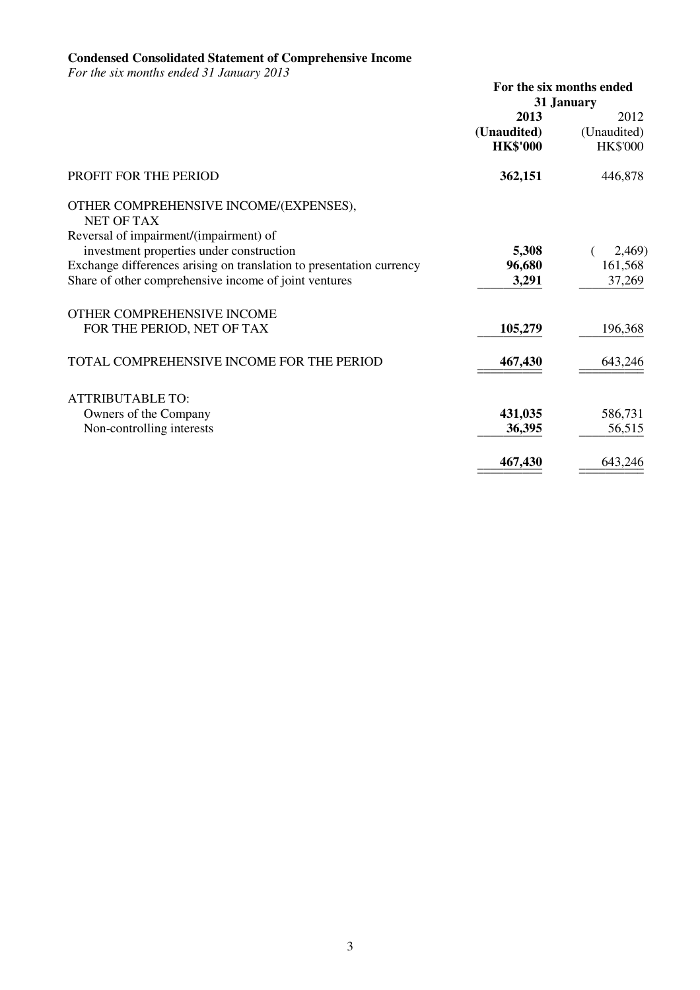#### **Condensed Consolidated Statement of Comprehensive Income**

*For the six months ended 31 January 2013* 

|                                                                      |                 | For the six months ended |
|----------------------------------------------------------------------|-----------------|--------------------------|
|                                                                      |                 | 31 January               |
|                                                                      | 2013            | 2012                     |
|                                                                      | (Unaudited)     | (Unaudited)              |
|                                                                      | <b>HK\$'000</b> | <b>HK\$'000</b>          |
| <b>PROFIT FOR THE PERIOD</b>                                         | 362,151         | 446,878                  |
| OTHER COMPREHENSIVE INCOME/(EXPENSES),<br><b>NET OF TAX</b>          |                 |                          |
| Reversal of impairment/(impairment) of                               |                 |                          |
| investment properties under construction                             | 5,308           | 2,469)                   |
| Exchange differences arising on translation to presentation currency | 96,680          | 161,568                  |
| Share of other comprehensive income of joint ventures                | 3,291           | 37,269                   |
| OTHER COMPREHENSIVE INCOME                                           |                 |                          |
| FOR THE PERIOD, NET OF TAX                                           | 105,279         | 196,368                  |
| TOTAL COMPREHENSIVE INCOME FOR THE PERIOD                            | 467,430         | 643,246                  |
|                                                                      |                 |                          |
| <b>ATTRIBUTABLE TO:</b>                                              |                 |                          |
| Owners of the Company                                                | 431,035         | 586,731                  |
| Non-controlling interests                                            | 36,395          | 56,515                   |
|                                                                      | 467,430         | 643,246                  |
|                                                                      |                 |                          |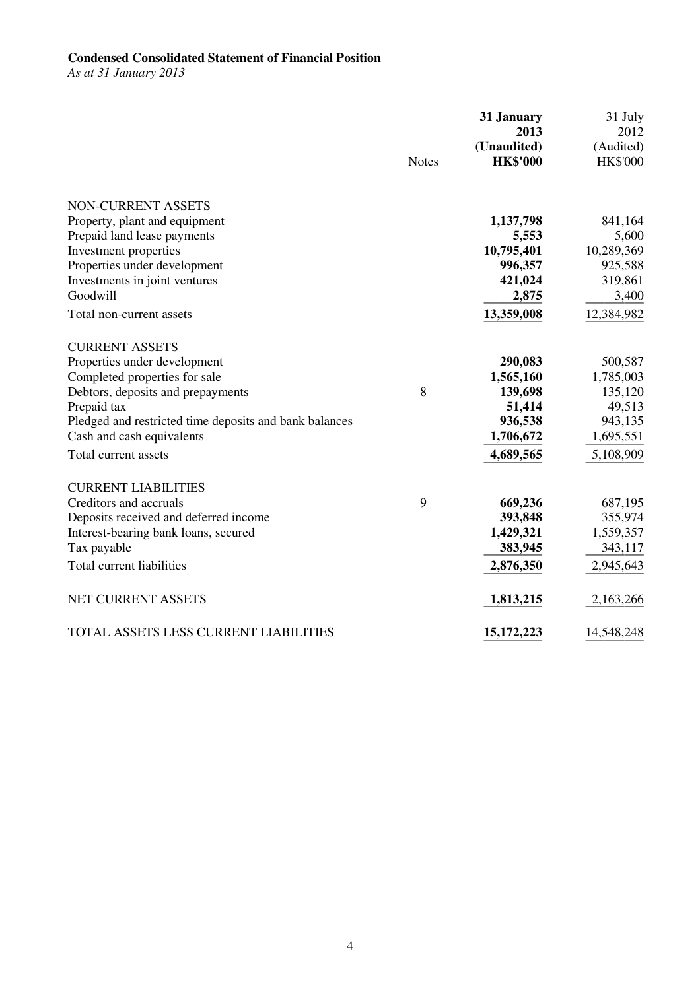## **Condensed Consolidated Statement of Financial Position**

*As at 31 January 2013* 

|                                                        | <b>Notes</b> | 31 January<br>2013<br>(Unaudited)<br><b>HK\$'000</b> | 31 July<br>2012<br>(Audited)<br><b>HK\$'000</b> |
|--------------------------------------------------------|--------------|------------------------------------------------------|-------------------------------------------------|
|                                                        |              |                                                      |                                                 |
| NON-CURRENT ASSETS                                     |              |                                                      |                                                 |
| Property, plant and equipment                          |              | 1,137,798                                            | 841,164                                         |
| Prepaid land lease payments                            |              | 5,553                                                | 5,600                                           |
| Investment properties                                  |              | 10,795,401                                           | 10,289,369                                      |
| Properties under development                           |              | 996,357                                              | 925,588                                         |
| Investments in joint ventures                          |              | 421,024                                              | 319,861                                         |
| Goodwill                                               |              | 2,875                                                | 3,400                                           |
| Total non-current assets                               |              | 13,359,008                                           | 12,384,982                                      |
| <b>CURRENT ASSETS</b>                                  |              |                                                      |                                                 |
| Properties under development                           |              | 290,083                                              | 500,587                                         |
| Completed properties for sale                          |              | 1,565,160                                            | 1,785,003                                       |
| Debtors, deposits and prepayments                      | 8            | 139,698                                              | 135,120                                         |
| Prepaid tax                                            |              | 51,414                                               | 49,513                                          |
| Pledged and restricted time deposits and bank balances |              | 936,538                                              | 943,135                                         |
| Cash and cash equivalents                              |              | 1,706,672                                            | 1,695,551                                       |
| Total current assets                                   |              | 4,689,565                                            | 5,108,909                                       |
| <b>CURRENT LIABILITIES</b>                             |              |                                                      |                                                 |
| Creditors and accruals                                 | 9            | 669,236                                              | 687,195                                         |
| Deposits received and deferred income                  |              | 393,848                                              | 355,974                                         |
| Interest-bearing bank loans, secured                   |              | 1,429,321                                            | 1,559,357                                       |
| Tax payable                                            |              | 383,945                                              | 343,117                                         |
| Total current liabilities                              |              | 2,876,350                                            | 2,945,643                                       |
| NET CURRENT ASSETS                                     |              | 1,813,215                                            | 2,163,266                                       |
| TOTAL ASSETS LESS CURRENT LIABILITIES                  |              | 15, 172, 223                                         | 14,548,248                                      |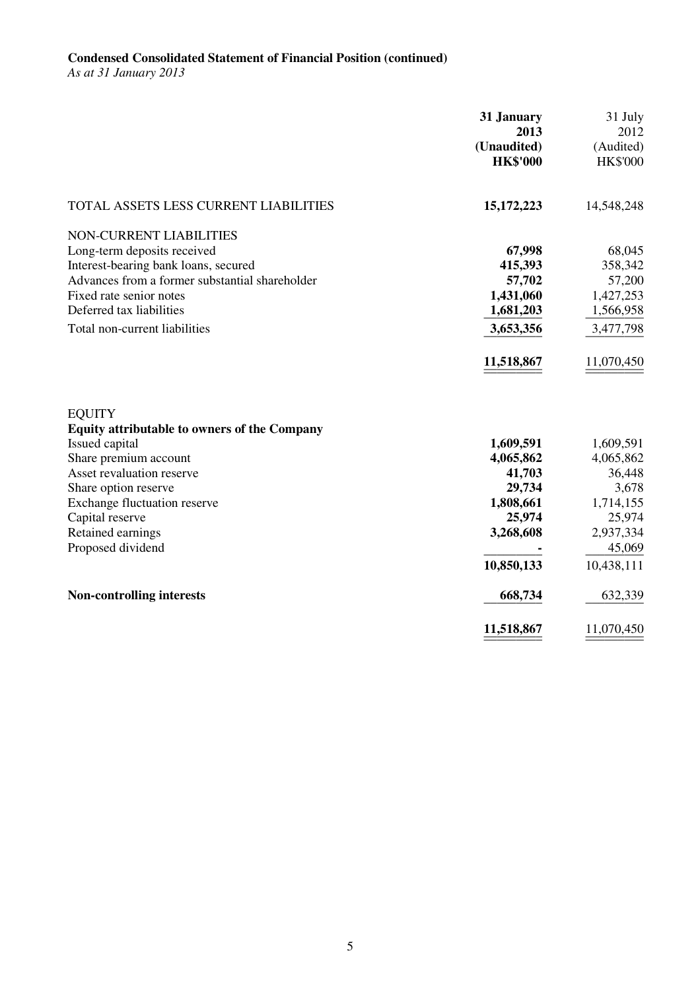# **Condensed Consolidated Statement of Financial Position (continued)**

*As at 31 January 2013* 

|                                                                                                                                                                                                                                                                   | 31 January<br>2013<br>(Unaudited)<br><b>HK\$'000</b>                                         | 31 July<br>2012<br>(Audited)<br><b>HK\$'000</b>                                                       |
|-------------------------------------------------------------------------------------------------------------------------------------------------------------------------------------------------------------------------------------------------------------------|----------------------------------------------------------------------------------------------|-------------------------------------------------------------------------------------------------------|
| TOTAL ASSETS LESS CURRENT LIABILITIES                                                                                                                                                                                                                             | 15, 172, 223                                                                                 | 14,548,248                                                                                            |
| NON-CURRENT LIABILITIES<br>Long-term deposits received<br>Interest-bearing bank loans, secured<br>Advances from a former substantial shareholder<br>Fixed rate senior notes<br>Deferred tax liabilities<br>Total non-current liabilities                          | 67,998<br>415,393<br>57,702<br>1,431,060<br>1,681,203<br>3,653,356<br>11,518,867             | 68,045<br>358,342<br>57,200<br>1,427,253<br>1,566,958<br>3,477,798<br>11,070,450                      |
| <b>EQUITY</b><br><b>Equity attributable to owners of the Company</b><br>Issued capital<br>Share premium account<br>Asset revaluation reserve<br>Share option reserve<br>Exchange fluctuation reserve<br>Capital reserve<br>Retained earnings<br>Proposed dividend | 1,609,591<br>4,065,862<br>41,703<br>29,734<br>1,808,661<br>25,974<br>3,268,608<br>10,850,133 | 1,609,591<br>4,065,862<br>36,448<br>3,678<br>1,714,155<br>25,974<br>2,937,334<br>45,069<br>10,438,111 |
| <b>Non-controlling interests</b>                                                                                                                                                                                                                                  | 668,734                                                                                      | 632,339                                                                                               |
|                                                                                                                                                                                                                                                                   | 11,518,867                                                                                   | 11,070,450                                                                                            |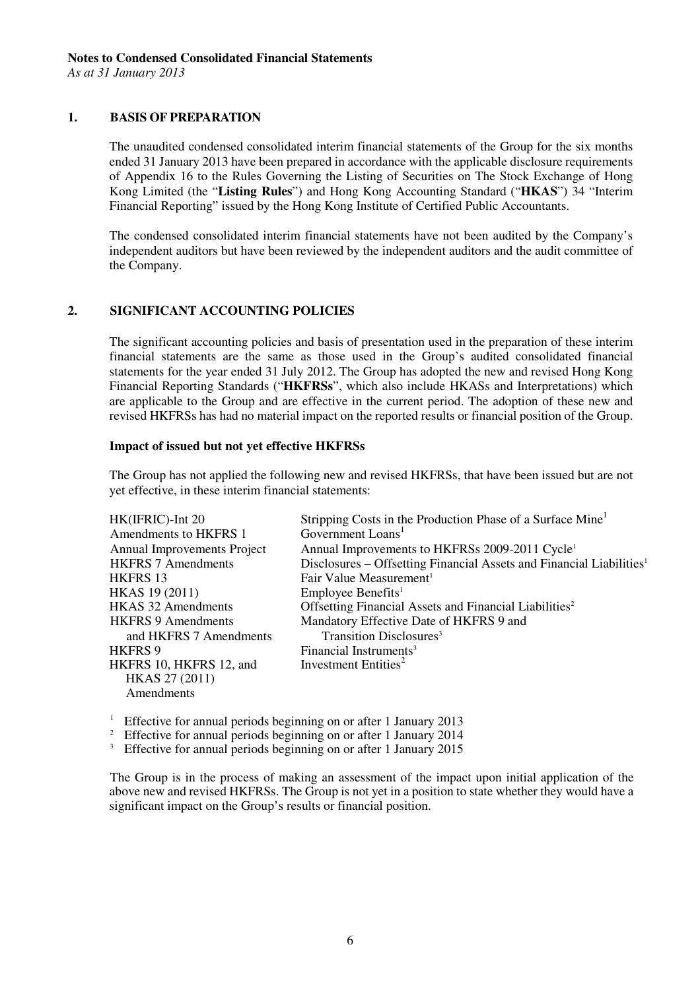*As at 31 January 2013* 

#### **1. BASIS OF PREPARATION**

The unaudited condensed consolidated interim financial statements of the Group for the six months ended 31 January 2013 have been prepared in accordance with the applicable disclosure requirements of Appendix 16 to the Rules Governing the Listing of Securities on The Stock Exchange of Hong Kong Limited (the "**Listing Rules**") and Hong Kong Accounting Standard ("**HKAS**") 34 "Interim Financial Reporting" issued by the Hong Kong Institute of Certified Public Accountants.

The condensed consolidated interim financial statements have not been audited by the Company's independent auditors but have been reviewed by the independent auditors and the audit committee of the Company.

#### **2. SIGNIFICANT ACCOUNTING POLICIES**

The significant accounting policies and basis of presentation used in the preparation of these interim financial statements are the same as those used in the Group's audited consolidated financial statements for the year ended 31 July 2012. The Group has adopted the new and revised Hong Kong Financial Reporting Standards ("**HKFRSs**", which also include HKASs and Interpretations) which are applicable to the Group and are effective in the current period. The adoption of these new and revised HKFRSs has had no material impact on the reported results or financial position of the Group.

#### **Impact of issued but not yet effective HKFRSs**

The Group has not applied the following new and revised HKFRSs, that have been issued but are not yet effective, in these interim financial statements:

| HK(IFRIC)-Int 20<br>Amendments to HKFRS 1 | Stripping Costs in the Production Phase of a Surface Mine<br>Government Loans <sup>1</sup> |
|-------------------------------------------|--------------------------------------------------------------------------------------------|
| <b>Annual Improvements Project</b>        | Annual Improvements to HKFRSs 2009-2011 Cycle <sup>1</sup>                                 |
| <b>HKFRS 7 Amendments</b>                 | Disclosures - Offsetting Financial Assets and Financial Liabilities <sup>1</sup>           |
| <b>HKFRS 13</b>                           | Fair Value Measurement <sup>1</sup>                                                        |
| HKAS 19 (2011)                            | Employee Benefits <sup>1</sup>                                                             |
| <b>HKAS 32 Amendments</b>                 | Offsetting Financial Assets and Financial Liabilities <sup>2</sup>                         |
| <b>HKFRS 9 Amendments</b>                 | Mandatory Effective Date of HKFRS 9 and                                                    |
| and HKFRS 7 Amendments                    | Transition Disclosures <sup>3</sup>                                                        |
| <b>HKFRS9</b>                             | Financial Instruments <sup>3</sup>                                                         |
| HKFRS 10, HKFRS 12, and                   | Investment Entities <sup>2</sup>                                                           |
| HKAS 27 (2011)                            |                                                                                            |
| Amendments                                |                                                                                            |

<sup>1</sup> Effective for annual periods beginning on or after 1 January 2013<br><sup>2</sup> Effective for annual periods beginning on or after 1 January 2014

<sup>2</sup> Effective for annual periods beginning on or after 1 January 2014

<sup>3</sup> Effective for annual periods beginning on or after 1 January 2015

 The Group is in the process of making an assessment of the impact upon initial application of the above new and revised HKFRSs. The Group is not yet in a position to state whether they would have a significant impact on the Group's results or financial position.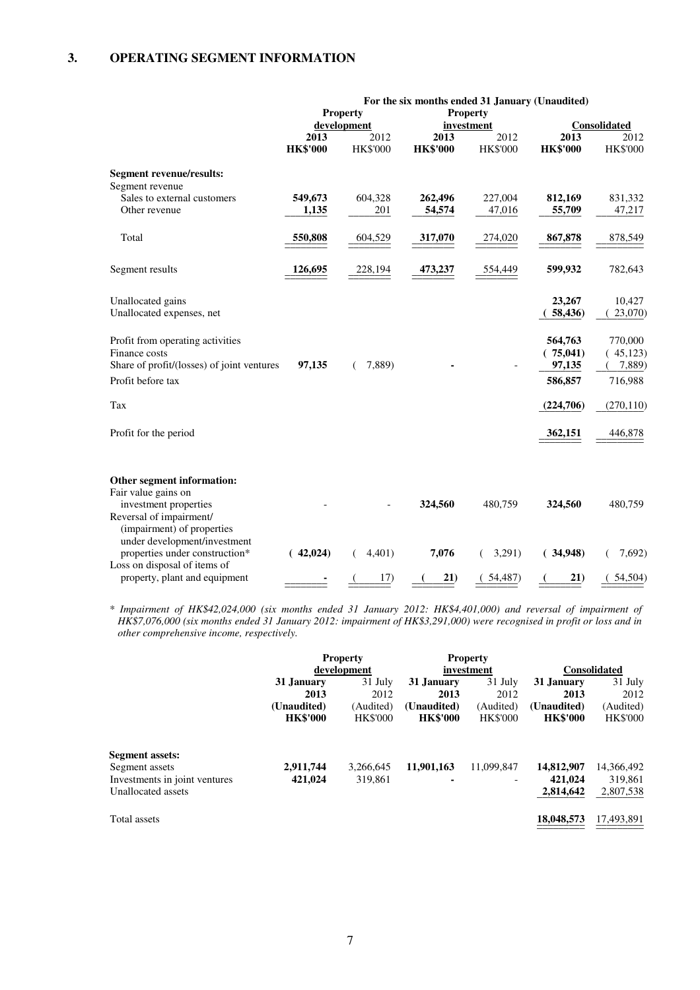|                                                                                                                                                  |                 | <b>Property</b>     | <b>Property</b>  | For the six months ended 31 January (Unaudited) |                     |                      |
|--------------------------------------------------------------------------------------------------------------------------------------------------|-----------------|---------------------|------------------|-------------------------------------------------|---------------------|----------------------|
|                                                                                                                                                  | 2013            | development<br>2012 | 2013             | investment<br>2012                              | 2013                | Consolidated<br>2012 |
|                                                                                                                                                  | <b>HK\$'000</b> | <b>HK\$'000</b>     | <b>HK\$'000</b>  | HK\$'000                                        | <b>HK\$'000</b>     | <b>HK\$'000</b>      |
| <b>Segment revenue/results:</b>                                                                                                                  |                 |                     |                  |                                                 |                     |                      |
| Segment revenue                                                                                                                                  |                 |                     |                  |                                                 |                     |                      |
| Sales to external customers                                                                                                                      | 549,673         | 604,328             | 262,496          | 227,004                                         | 812,169             | 831,332              |
| Other revenue                                                                                                                                    | 1,135           | 201                 | 54,574           | 47,016                                          | 55,709              | 47,217               |
| Total                                                                                                                                            | 550,808         | 604,529             | 317,070          | 274,020                                         | 867,878             | 878,549              |
| Segment results                                                                                                                                  | 126,695         | 228,194             | 473,237          | 554,449                                         | 599,932             | 782,643              |
| Unallocated gains                                                                                                                                |                 |                     |                  |                                                 | 23,267              | 10,427               |
| Unallocated expenses, net                                                                                                                        |                 |                     |                  |                                                 | 58,436)             | 23,070)              |
| Profit from operating activities                                                                                                                 |                 |                     |                  |                                                 | 564,763             | 770,000              |
| Finance costs                                                                                                                                    |                 |                     |                  |                                                 | (75,041)            | (45,123)             |
| Share of profit/(losses) of joint ventures                                                                                                       | 97,135          | 7,889)              |                  |                                                 | 97,135              | 7,889)               |
| Profit before tax                                                                                                                                |                 |                     |                  |                                                 | 586,857             | 716,988              |
| Tax                                                                                                                                              |                 |                     |                  |                                                 | (224,706)           | (270, 110)           |
| Profit for the period                                                                                                                            |                 |                     |                  |                                                 | 362,151             | 446,878              |
| Other segment information:                                                                                                                       |                 |                     |                  |                                                 |                     |                      |
| Fair value gains on                                                                                                                              |                 |                     |                  |                                                 |                     |                      |
| investment properties<br>Reversal of impairment/<br>(impairment) of properties<br>under development/investment<br>properties under construction* | (42,024)        | 4,401)              | 324,560<br>7,076 | 480,759<br>3,291)                               | 324,560<br>(34,948) | 480,759<br>7,692)    |
| Loss on disposal of items of                                                                                                                     |                 |                     |                  |                                                 |                     |                      |
| property, plant and equipment                                                                                                                    |                 | 17)                 | 21)              | (54, 487)                                       | 21)                 | (54,504)             |

*\* Impairment of HK\$42,024,000 (six months ended 31 January 2012: HK\$4,401,000) and reversal of impairment of HK\$7,076,000 (six months ended 31 January 2012: impairment of HK\$3,291,000) were recognised in profit or loss and in other comprehensive income, respectively.* 

|                               |                 | <b>Property</b> |                 | <b>Property</b> |                 |                     |
|-------------------------------|-----------------|-----------------|-----------------|-----------------|-----------------|---------------------|
|                               |                 | development     |                 | investment      |                 | <b>Consolidated</b> |
|                               | 31 January      | 31 July         | 31 January      | 31 July         | 31 January      | 31 July             |
|                               | 2013            | 2012            | 2013            | 2012            | 2013            | 2012                |
|                               | (Unaudited)     | (Audited)       | (Unaudited)     | (Audited)       | (Unaudited)     | (Audited)           |
|                               | <b>HK\$'000</b> | <b>HK\$'000</b> | <b>HK\$'000</b> | <b>HK\$'000</b> | <b>HK\$'000</b> | <b>HK\$'000</b>     |
| <b>Segment assets:</b>        |                 |                 |                 |                 |                 |                     |
| Segment assets                | 2,911,744       | 3,266,645       | 11,901,163      | 11,099,847      | 14,812,907      | 14,366,492          |
| Investments in joint ventures | 421,024         | 319.861         | ۰               |                 | 421,024         | 319,861             |
| Unallocated assets            |                 |                 |                 |                 | 2,814,642       | 2,807,538           |
| Total assets                  |                 |                 |                 |                 | 18,048,573      | 17,493,891          |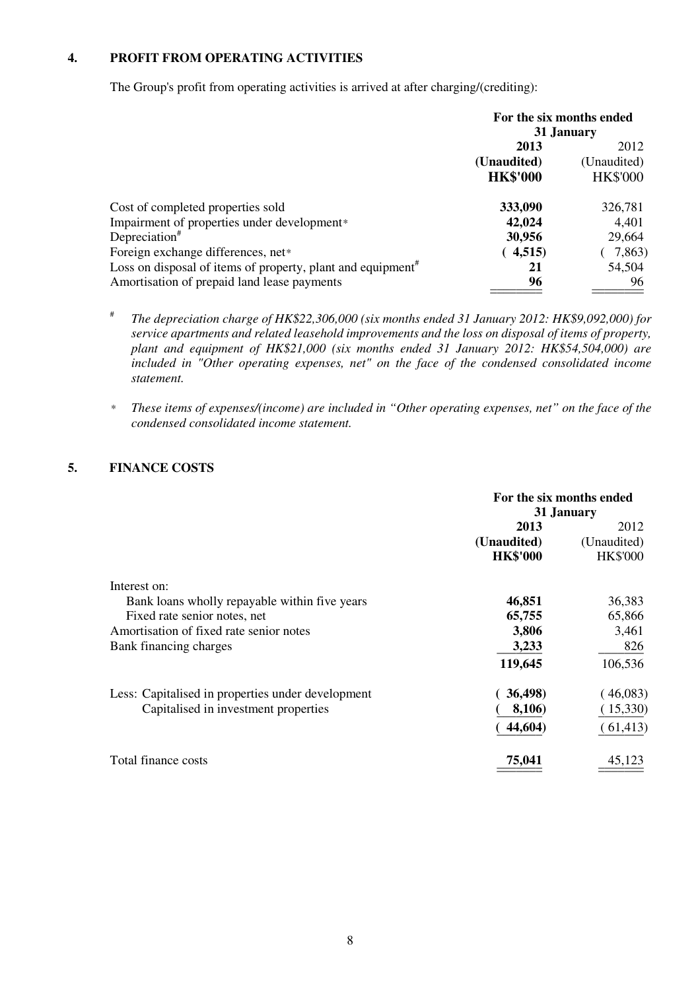#### **4. PROFIT FROM OPERATING ACTIVITIES**

The Group's profit from operating activities is arrived at after charging/(crediting):

|                                                                         | For the six months ended<br>31 January |                 |
|-------------------------------------------------------------------------|----------------------------------------|-----------------|
|                                                                         | 2013                                   | 2012            |
|                                                                         | (Unaudited)                            | (Unaudited)     |
|                                                                         | <b>HK\$'000</b>                        | <b>HK\$'000</b> |
| Cost of completed properties sold                                       | 333,090                                | 326,781         |
| Impairment of properties under development*                             | 42,024                                 | 4,401           |
| Depreciation <sup>#</sup>                                               | 30,956                                 | 29,664          |
| Foreign exchange differences, net*                                      | (4,515)                                | 7,863)          |
| Loss on disposal of items of property, plant and equipment <sup>#</sup> | 21                                     | 54,504          |
| Amortisation of prepaid land lease payments                             | 96                                     | 96              |

- #  *The depreciation charge of HK\$22,306,000 (six months ended 31 January 2012: HK\$9,092,000) for service apartments and related leasehold improvements and the loss on disposal of items of property, plant and equipment of HK\$21,000 (six months ended 31 January 2012: HK\$54,504,000) are included in "Other operating expenses, net" on the face of the condensed consolidated income statement.*
- *\* These items of expenses/(income) are included in "Other operating expenses, net" on the face of the condensed consolidated income statement.*

#### **5. FINANCE COSTS**

|                                                   | For the six months ended<br>31 January |                 |
|---------------------------------------------------|----------------------------------------|-----------------|
|                                                   | 2013                                   | 2012            |
|                                                   | (Unaudited)                            | (Unaudited)     |
|                                                   | <b>HK\$'000</b>                        | <b>HK\$'000</b> |
| Interest on:                                      |                                        |                 |
| Bank loans wholly repayable within five years     | 46,851                                 | 36,383          |
| Fixed rate senior notes, net                      | 65,755                                 | 65,866          |
| Amortisation of fixed rate senior notes           | 3,806                                  | 3,461           |
| Bank financing charges                            | 3,233                                  | 826             |
|                                                   | 119,645                                | 106,536         |
| Less: Capitalised in properties under development | 36,498)                                | (46,083)        |
| Capitalised in investment properties              | 8,106)                                 | 15,330)         |
|                                                   | 44,604)                                | (61, 413)       |
| Total finance costs                               | 75,041                                 | 45,123          |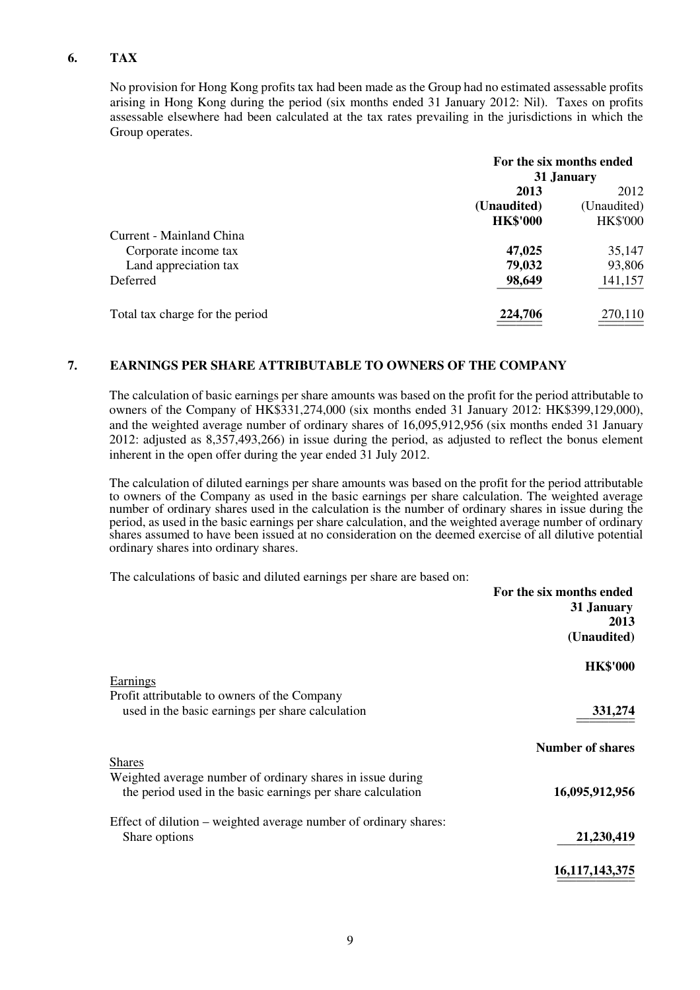#### **6. TAX**

 No provision for Hong Kong profits tax had been made as the Group had no estimated assessable profits arising in Hong Kong during the period (six months ended 31 January 2012: Nil). Taxes on profits assessable elsewhere had been calculated at the tax rates prevailing in the jurisdictions in which the Group operates.

|                                 |                 | For the six months ended |
|---------------------------------|-----------------|--------------------------|
|                                 |                 | 31 January               |
|                                 | 2013            | 2012                     |
|                                 | (Unaudited)     | (Unaudited)              |
|                                 | <b>HK\$'000</b> | <b>HK\$'000</b>          |
| Current - Mainland China        |                 |                          |
| Corporate income tax            | 47,025          | 35,147                   |
| Land appreciation tax           | 79,032          | 93,806                   |
| Deferred                        | 98,649          | 141,157                  |
| Total tax charge for the period | 224,706         | 270,110                  |

#### **7. EARNINGS PER SHARE ATTRIBUTABLE TO OWNERS OF THE COMPANY**

 The calculation of basic earnings per share amounts was based on the profit for the period attributable to owners of the Company of HK\$331,274,000 (six months ended 31 January 2012: HK\$399,129,000), and the weighted average number of ordinary shares of 16,095,912,956 (six months ended 31 January 2012: adjusted as 8,357,493,266) in issue during the period, as adjusted to reflect the bonus element inherent in the open offer during the year ended 31 July 2012.

The calculation of diluted earnings per share amounts was based on the profit for the period attributable to owners of the Company as used in the basic earnings per share calculation. The weighted average number of ordinary shares used in the calculation is the number of ordinary shares in issue during the period, as used in the basic earnings per share calculation, and the weighted average number of ordinary shares assumed to have been issued at no consideration on the deemed exercise of all dilutive potential ordinary shares into ordinary shares.

The calculations of basic and diluted earnings per share are based on:

| For the six months ended |                                                                  |
|--------------------------|------------------------------------------------------------------|
| 31 January               |                                                                  |
| 2013                     |                                                                  |
| (Unaudited)              |                                                                  |
| <b>HK\$'000</b>          |                                                                  |
|                          | Earnings<br>Profit attributable to owners of the Company         |
| 331,274                  | used in the basic earnings per share calculation                 |
|                          |                                                                  |
| <b>Number of shares</b>  |                                                                  |
|                          | <b>Shares</b>                                                    |
|                          | Weighted average number of ordinary shares in issue during       |
| 16,095,912,956           | the period used in the basic earnings per share calculation      |
|                          | Effect of dilution – weighted average number of ordinary shares: |
| 21,230,419               | Share options                                                    |
|                          |                                                                  |
| 16, 117, 143, 375        |                                                                  |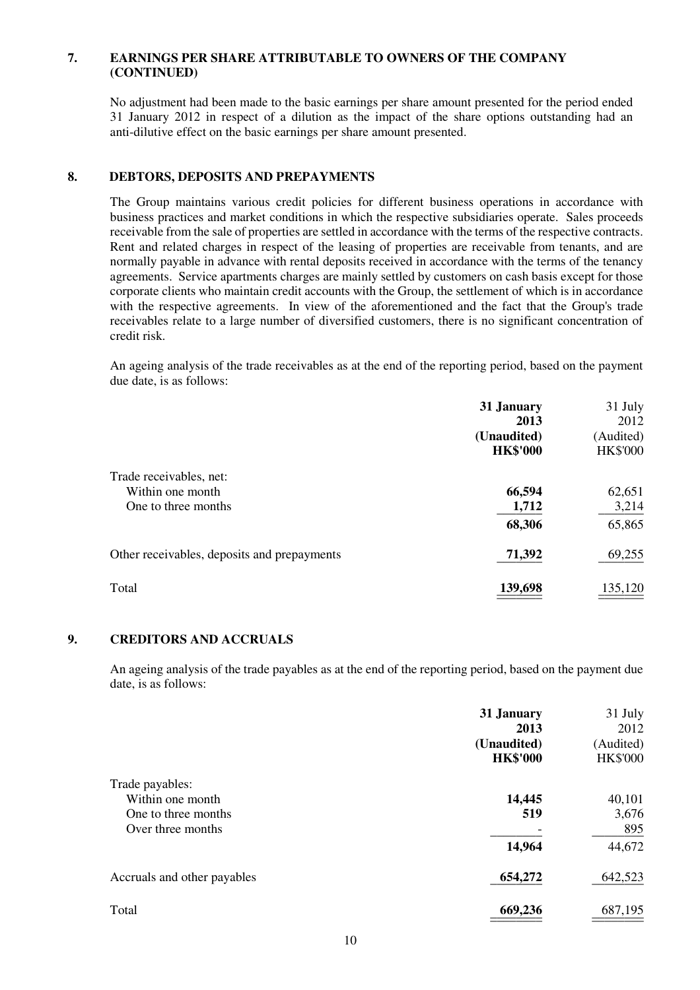#### **7. EARNINGS PER SHARE ATTRIBUTABLE TO OWNERS OF THE COMPANY (CONTINUED)**

 No adjustment had been made to the basic earnings per share amount presented for the period ended 31 January 2012 in respect of a dilution as the impact of the share options outstanding had an anti-dilutive effect on the basic earnings per share amount presented.

#### **8. DEBTORS, DEPOSITS AND PREPAYMENTS**

 The Group maintains various credit policies for different business operations in accordance with business practices and market conditions in which the respective subsidiaries operate. Sales proceeds receivable from the sale of properties are settled in accordance with the terms of the respective contracts. Rent and related charges in respect of the leasing of properties are receivable from tenants, and are normally payable in advance with rental deposits received in accordance with the terms of the tenancy agreements. Service apartments charges are mainly settled by customers on cash basis except for those corporate clients who maintain credit accounts with the Group, the settlement of which is in accordance with the respective agreements. In view of the aforementioned and the fact that the Group's trade receivables relate to a large number of diversified customers, there is no significant concentration of credit risk.

An ageing analysis of the trade receivables as at the end of the reporting period, based on the payment due date, is as follows:

| 31 January      | 31 July         |
|-----------------|-----------------|
| 2013            | 2012            |
| (Unaudited)     | (Audited)       |
| <b>HK\$'000</b> | <b>HK\$'000</b> |
|                 |                 |
| 66,594          | 62,651          |
| 1,712           | 3,214           |
| 68,306          | 65,865          |
| 71,392          | 69,255          |
| 139,698         | 135,120         |
|                 |                 |

#### **9. CREDITORS AND ACCRUALS**

 An ageing analysis of the trade payables as at the end of the reporting period, based on the payment due date, is as follows:

|                             | 31 January<br>2013<br>(Unaudited)<br><b>HK\$'000</b> | 31 July<br>2012<br>(Audited)<br><b>HK\$'000</b> |
|-----------------------------|------------------------------------------------------|-------------------------------------------------|
| Trade payables:             |                                                      |                                                 |
| Within one month            | 14,445                                               | 40,101                                          |
| One to three months         | 519                                                  | 3,676                                           |
| Over three months           |                                                      | 895                                             |
|                             | 14,964                                               | 44,672                                          |
| Accruals and other payables | 654,272                                              | 642,523                                         |
| Total                       | 669,236                                              | 687,195                                         |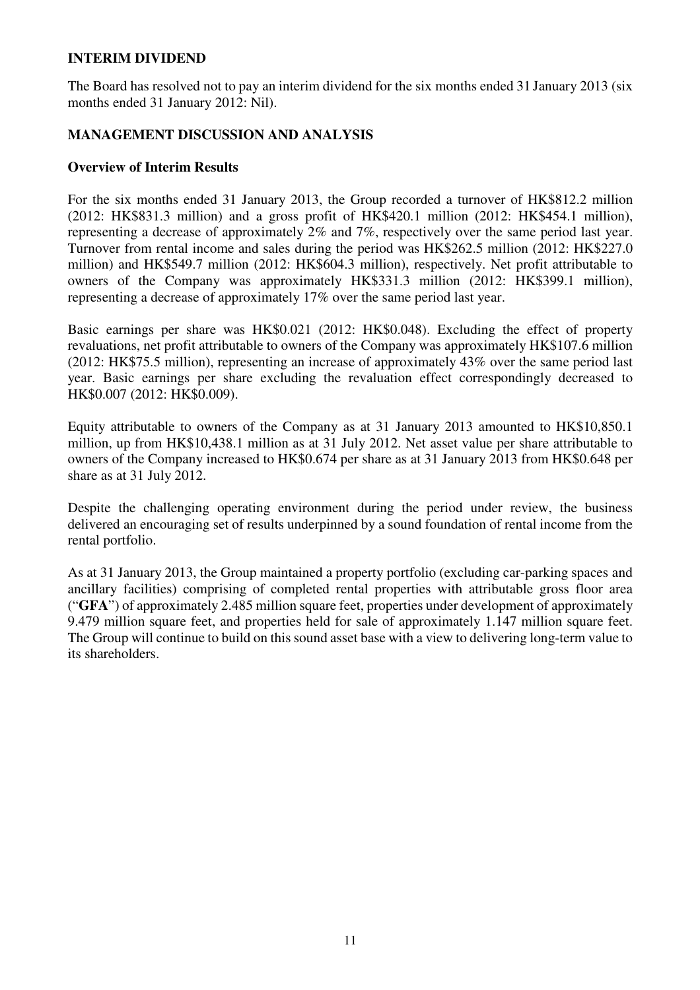#### **INTERIM DIVIDEND**

The Board has resolved not to pay an interim dividend for the six months ended 31 January 2013 (six months ended 31 January 2012: Nil).

## **MANAGEMENT DISCUSSION AND ANALYSIS**

#### **Overview of Interim Results**

For the six months ended 31 January 2013, the Group recorded a turnover of HK\$812.2 million (2012: HK\$831.3 million) and a gross profit of HK\$420.1 million (2012: HK\$454.1 million), representing a decrease of approximately 2% and 7%, respectively over the same period last year. Turnover from rental income and sales during the period was HK\$262.5 million (2012: HK\$227.0 million) and HK\$549.7 million (2012: HK\$604.3 million), respectively. Net profit attributable to owners of the Company was approximately HK\$331.3 million (2012: HK\$399.1 million), representing a decrease of approximately 17% over the same period last year.

Basic earnings per share was HK\$0.021 (2012: HK\$0.048). Excluding the effect of property revaluations, net profit attributable to owners of the Company was approximately HK\$107.6 million (2012: HK\$75.5 million), representing an increase of approximately 43% over the same period last year. Basic earnings per share excluding the revaluation effect correspondingly decreased to HK\$0.007 (2012: HK\$0.009).

Equity attributable to owners of the Company as at 31 January 2013 amounted to HK\$10,850.1 million, up from HK\$10,438.1 million as at 31 July 2012. Net asset value per share attributable to owners of the Company increased to HK\$0.674 per share as at 31 January 2013 from HK\$0.648 per share as at 31 July 2012.

Despite the challenging operating environment during the period under review, the business delivered an encouraging set of results underpinned by a sound foundation of rental income from the rental portfolio.

As at 31 January 2013, the Group maintained a property portfolio (excluding car-parking spaces and ancillary facilities) comprising of completed rental properties with attributable gross floor area ("**GFA**") of approximately 2.485 million square feet, properties under development of approximately 9.479 million square feet, and properties held for sale of approximately 1.147 million square feet. The Group will continue to build on this sound asset base with a view to delivering long-term value to its shareholders.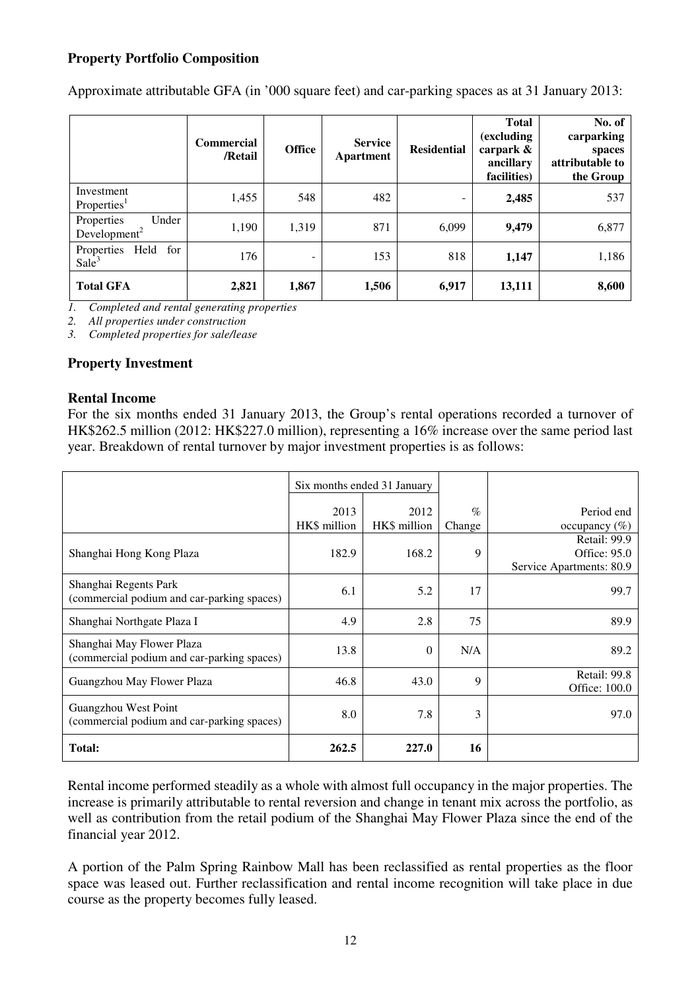## **Property Portfolio Composition**

|                                                 | <b>Commercial</b><br>/Retail | <b>Office</b>            | <b>Service</b><br>Apartment | <b>Residential</b> | <b>Total</b><br>(excluding<br>carpark &<br>ancillary<br>facilities) | No. of<br>carparking<br>spaces<br>attributable to<br>the Group |
|-------------------------------------------------|------------------------------|--------------------------|-----------------------------|--------------------|---------------------------------------------------------------------|----------------------------------------------------------------|
| Investment<br>Properties <sup>1</sup>           | 1,455                        | 548                      | 482                         | -                  | 2,485                                                               | 537                                                            |
| Under<br>Properties<br>Development <sup>2</sup> | 1,190                        | 1,319                    | 871                         | 6,099              | 9,479                                                               | 6,877                                                          |
| Properties<br>Held<br>for<br>Sale <sup>3</sup>  | 176                          | $\overline{\phantom{0}}$ | 153                         | 818                | 1,147                                                               | 1,186                                                          |
| <b>Total GFA</b>                                | 2,821                        | 1,867                    | 1,506                       | 6,917              | 13,111                                                              | 8,600                                                          |

Approximate attributable GFA (in '000 square feet) and car-parking spaces as at 31 January 2013:

*1. Completed and rental generating properties* 

*2. All properties under construction* 

*3. Completed properties for sale/lease* 

#### **Property Investment**

#### **Rental Income**

For the six months ended 31 January 2013, the Group's rental operations recorded a turnover of HK\$262.5 million (2012: HK\$227.0 million), representing a 16% increase over the same period last year. Breakdown of rental turnover by major investment properties is as follows:

|                                                                         | Six months ended 31 January |                      |                |                                                          |
|-------------------------------------------------------------------------|-----------------------------|----------------------|----------------|----------------------------------------------------------|
|                                                                         | 2013<br>HK\$ million        | 2012<br>HK\$ million | $\%$<br>Change | Period end<br>occupancy $(\%)$                           |
| Shanghai Hong Kong Plaza                                                | 182.9                       | 168.2                | 9              | Retail: 99.9<br>Office: 95.0<br>Service Apartments: 80.9 |
| Shanghai Regents Park<br>(commercial podium and car-parking spaces)     | 6.1                         | 5.2                  | 17             | 99.7                                                     |
| Shanghai Northgate Plaza I                                              | 4.9                         | 2.8                  | 75             | 89.9                                                     |
| Shanghai May Flower Plaza<br>(commercial podium and car-parking spaces) | 13.8                        | $\Omega$             | N/A            | 89.2                                                     |
| Guangzhou May Flower Plaza                                              | 46.8                        | 43.0                 | 9              | Retail: 99.8<br>Office: 100.0                            |
| Guangzhou West Point<br>(commercial podium and car-parking spaces)      | 8.0                         | 7.8                  | 3              | 97.0                                                     |
| Total:                                                                  | 262.5                       | 227.0                | 16             |                                                          |

Rental income performed steadily as a whole with almost full occupancy in the major properties. The increase is primarily attributable to rental reversion and change in tenant mix across the portfolio, as well as contribution from the retail podium of the Shanghai May Flower Plaza since the end of the financial year 2012.

A portion of the Palm Spring Rainbow Mall has been reclassified as rental properties as the floor space was leased out. Further reclassification and rental income recognition will take place in due course as the property becomes fully leased.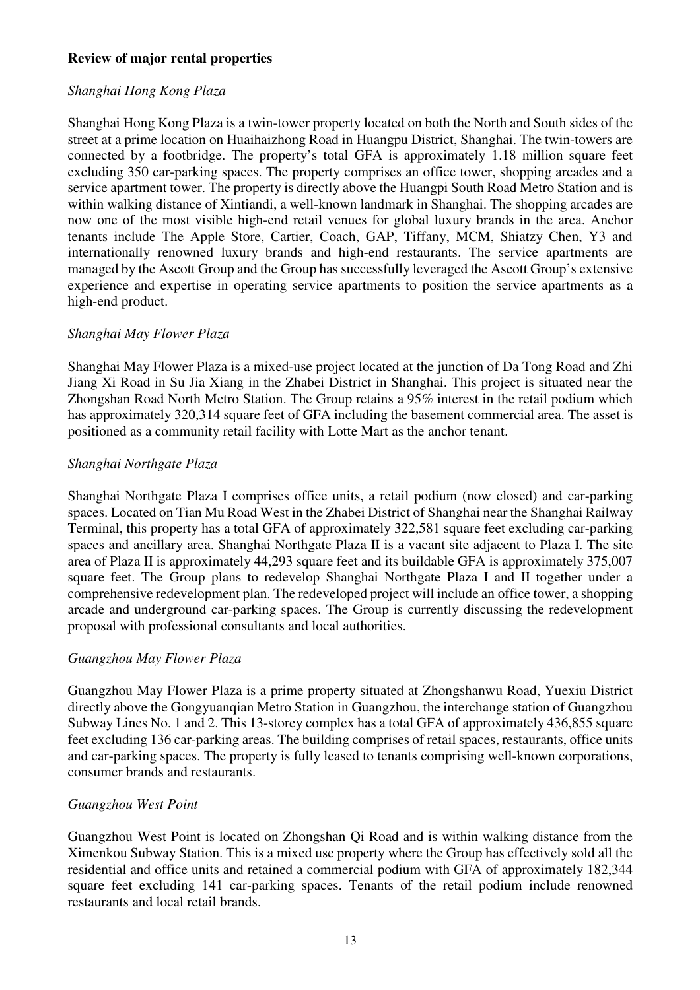### **Review of major rental properties**

## *Shanghai Hong Kong Plaza*

Shanghai Hong Kong Plaza is a twin-tower property located on both the North and South sides of the street at a prime location on Huaihaizhong Road in Huangpu District, Shanghai. The twin-towers are connected by a footbridge. The property's total GFA is approximately 1.18 million square feet excluding 350 car-parking spaces. The property comprises an office tower, shopping arcades and a service apartment tower. The property is directly above the Huangpi South Road Metro Station and is within walking distance of Xintiandi, a well-known landmark in Shanghai. The shopping arcades are now one of the most visible high-end retail venues for global luxury brands in the area. Anchor tenants include The Apple Store, Cartier, Coach, GAP, Tiffany, MCM, Shiatzy Chen, Y3 and internationally renowned luxury brands and high-end restaurants. The service apartments are managed by the Ascott Group and the Group has successfully leveraged the Ascott Group's extensive experience and expertise in operating service apartments to position the service apartments as a high-end product.

### *Shanghai May Flower Plaza*

Shanghai May Flower Plaza is a mixed-use project located at the junction of Da Tong Road and Zhi Jiang Xi Road in Su Jia Xiang in the Zhabei District in Shanghai. This project is situated near the Zhongshan Road North Metro Station. The Group retains a 95% interest in the retail podium which has approximately 320,314 square feet of GFA including the basement commercial area. The asset is positioned as a community retail facility with Lotte Mart as the anchor tenant.

### *Shanghai Northgate Plaza*

Shanghai Northgate Plaza I comprises office units, a retail podium (now closed) and car-parking spaces. Located on Tian Mu Road West in the Zhabei District of Shanghai near the Shanghai Railway Terminal, this property has a total GFA of approximately 322,581 square feet excluding car-parking spaces and ancillary area. Shanghai Northgate Plaza II is a vacant site adjacent to Plaza I. The site area of Plaza II is approximately 44,293 square feet and its buildable GFA is approximately 375,007 square feet. The Group plans to redevelop Shanghai Northgate Plaza I and II together under a comprehensive redevelopment plan. The redeveloped project will include an office tower, a shopping arcade and underground car-parking spaces. The Group is currently discussing the redevelopment proposal with professional consultants and local authorities.

## *Guangzhou May Flower Plaza*

Guangzhou May Flower Plaza is a prime property situated at Zhongshanwu Road, Yuexiu District directly above the Gongyuanqian Metro Station in Guangzhou, the interchange station of Guangzhou Subway Lines No. 1 and 2. This 13-storey complex has a total GFA of approximately 436,855 square feet excluding 136 car-parking areas. The building comprises of retail spaces, restaurants, office units and car-parking spaces. The property is fully leased to tenants comprising well-known corporations, consumer brands and restaurants.

## *Guangzhou West Point*

Guangzhou West Point is located on Zhongshan Qi Road and is within walking distance from the Ximenkou Subway Station. This is a mixed use property where the Group has effectively sold all the residential and office units and retained a commercial podium with GFA of approximately 182,344 square feet excluding 141 car-parking spaces. Tenants of the retail podium include renowned restaurants and local retail brands.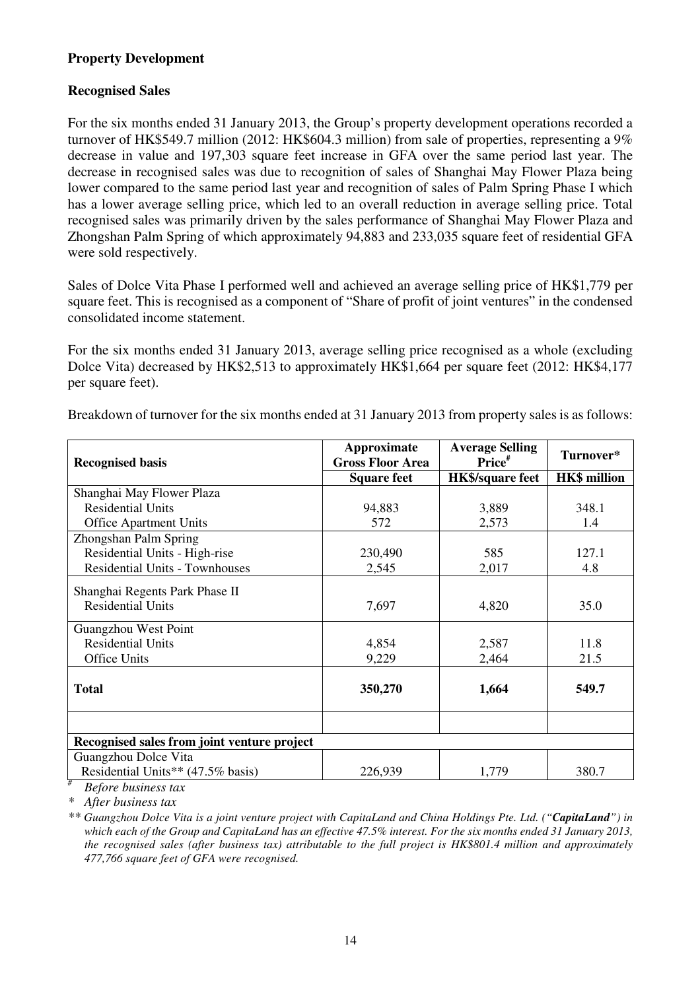## **Property Development**

## **Recognised Sales**

For the six months ended 31 January 2013, the Group's property development operations recorded a turnover of HK\$549.7 million (2012: HK\$604.3 million) from sale of properties, representing a 9% decrease in value and 197,303 square feet increase in GFA over the same period last year. The decrease in recognised sales was due to recognition of sales of Shanghai May Flower Plaza being lower compared to the same period last year and recognition of sales of Palm Spring Phase I which has a lower average selling price, which led to an overall reduction in average selling price. Total recognised sales was primarily driven by the sales performance of Shanghai May Flower Plaza and Zhongshan Palm Spring of which approximately 94,883 and 233,035 square feet of residential GFA were sold respectively.

Sales of Dolce Vita Phase I performed well and achieved an average selling price of HK\$1,779 per square feet. This is recognised as a component of "Share of profit of joint ventures" in the condensed consolidated income statement.

For the six months ended 31 January 2013, average selling price recognised as a whole (excluding Dolce Vita) decreased by HK\$2,513 to approximately HK\$1,664 per square feet (2012: HK\$4,177 per square feet).

Breakdown of turnover for the six months ended at 31 January 2013 from property sales is as follows:

| <b>Recognised basis</b>                                                                   | Approximate<br><b>Gross Floor Area</b> | <b>Average Selling</b><br>Price <sup>#</sup> | Turnover*           |
|-------------------------------------------------------------------------------------------|----------------------------------------|----------------------------------------------|---------------------|
|                                                                                           | <b>Square feet</b>                     | <b>HK\$/square feet</b>                      | <b>HK\$</b> million |
| Shanghai May Flower Plaza                                                                 |                                        |                                              |                     |
| <b>Residential Units</b>                                                                  | 94,883                                 | 3,889                                        | 348.1               |
| <b>Office Apartment Units</b>                                                             | 572                                    | 2,573                                        | 1.4                 |
| Zhongshan Palm Spring                                                                     |                                        |                                              |                     |
| Residential Units - High-rise                                                             | 230,490                                | 585                                          | 127.1               |
| <b>Residential Units - Townhouses</b>                                                     | 2,545                                  | 2,017                                        | 4.8                 |
| Shanghai Regents Park Phase II<br><b>Residential Units</b>                                | 7,697                                  | 4,820                                        | 35.0                |
| Guangzhou West Point                                                                      |                                        |                                              |                     |
| <b>Residential Units</b>                                                                  | 4,854                                  | 2,587                                        | 11.8                |
| <b>Office Units</b>                                                                       | 9,229                                  | 2,464                                        | 21.5                |
| <b>Total</b>                                                                              | 350,270                                | 1,664                                        | 549.7               |
|                                                                                           |                                        |                                              |                     |
| Recognised sales from joint venture project                                               |                                        |                                              |                     |
| Guangzhou Dolce Vita                                                                      |                                        |                                              |                     |
| Residential Units** (47.5% basis)<br>#<br>$D_{\alpha} f_{\alpha}$ is business to $\alpha$ | 226,939                                | 1,779                                        | 380.7               |

 *Before business tax* 

*\* After business tax* 

*\*\* Guangzhou Dolce Vita is a joint venture project with CapitaLand and China Holdings Pte. Ltd. ("CapitaLand") in which each of the Group and CapitaLand has an effective 47.5% interest. For the six months ended 31 January 2013, the recognised sales (after business tax) attributable to the full project is HK\$801.4 million and approximately 477,766 square feet of GFA were recognised.*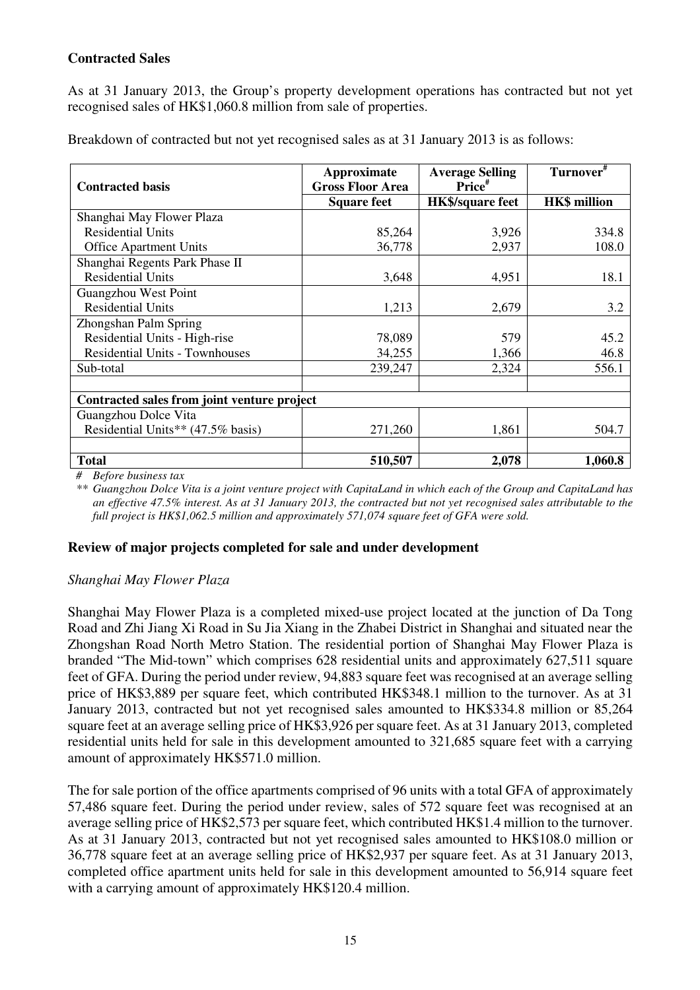## **Contracted Sales**

As at 31 January 2013, the Group's property development operations has contracted but not yet recognised sales of HK\$1,060.8 million from sale of properties.

Breakdown of contracted but not yet recognised sales as at 31 January 2013 is as follows:

| <b>Contracted basis</b>                     | Approximate<br><b>Gross Floor Area</b> | <b>Average Selling</b><br>Price# | Turnover <sup>#</sup> |
|---------------------------------------------|----------------------------------------|----------------------------------|-----------------------|
|                                             | <b>Square feet</b>                     | <b>HK\$/square feet</b>          | <b>HK\$</b> million   |
| Shanghai May Flower Plaza                   |                                        |                                  |                       |
| <b>Residential Units</b>                    | 85,264                                 | 3,926                            | 334.8                 |
| <b>Office Apartment Units</b>               | 36,778                                 | 2,937                            | 108.0                 |
| Shanghai Regents Park Phase II              |                                        |                                  |                       |
| <b>Residential Units</b>                    | 3,648                                  | 4,951                            | 18.1                  |
| Guangzhou West Point                        |                                        |                                  |                       |
| <b>Residential Units</b>                    | 1,213                                  | 2,679                            | 3.2                   |
| Zhongshan Palm Spring                       |                                        |                                  |                       |
| Residential Units - High-rise               | 78,089                                 | 579                              | 45.2                  |
| <b>Residential Units - Townhouses</b>       | 34,255                                 | 1,366                            | 46.8                  |
| Sub-total                                   | 239,247                                | 2,324                            | 556.1                 |
|                                             |                                        |                                  |                       |
| Contracted sales from joint venture project |                                        |                                  |                       |
| Guangzhou Dolce Vita                        |                                        |                                  |                       |
| Residential Units** (47.5% basis)           | 271,260                                | 1,861                            | 504.7                 |
|                                             |                                        |                                  |                       |
| <b>Total</b>                                | 510,507                                | 2,078                            | 1,060.8               |

*# Before business tax* 

*\*\* Guangzhou Dolce Vita is a joint venture project with CapitaLand in which each of the Group and CapitaLand has an effective 47.5% interest. As at 31 January 2013, the contracted but not yet recognised sales attributable to the full project is HK\$1,062.5 million and approximately 571,074 square feet of GFA were sold.* 

## **Review of major projects completed for sale and under development**

## *Shanghai May Flower Plaza*

Shanghai May Flower Plaza is a completed mixed-use project located at the junction of Da Tong Road and Zhi Jiang Xi Road in Su Jia Xiang in the Zhabei District in Shanghai and situated near the Zhongshan Road North Metro Station. The residential portion of Shanghai May Flower Plaza is branded "The Mid-town" which comprises 628 residential units and approximately 627,511 square feet of GFA. During the period under review, 94,883 square feet was recognised at an average selling price of HK\$3,889 per square feet, which contributed HK\$348.1 million to the turnover. As at 31 January 2013, contracted but not yet recognised sales amounted to HK\$334.8 million or 85,264 square feet at an average selling price of HK\$3,926 per square feet. As at 31 January 2013, completed residential units held for sale in this development amounted to 321,685 square feet with a carrying amount of approximately HK\$571.0 million.

The for sale portion of the office apartments comprised of 96 units with a total GFA of approximately 57,486 square feet. During the period under review, sales of 572 square feet was recognised at an average selling price of HK\$2,573 per square feet, which contributed HK\$1.4 million to the turnover. As at 31 January 2013, contracted but not yet recognised sales amounted to HK\$108.0 million or 36,778 square feet at an average selling price of HK\$2,937 per square feet. As at 31 January 2013, completed office apartment units held for sale in this development amounted to 56,914 square feet with a carrying amount of approximately HK\$120.4 million.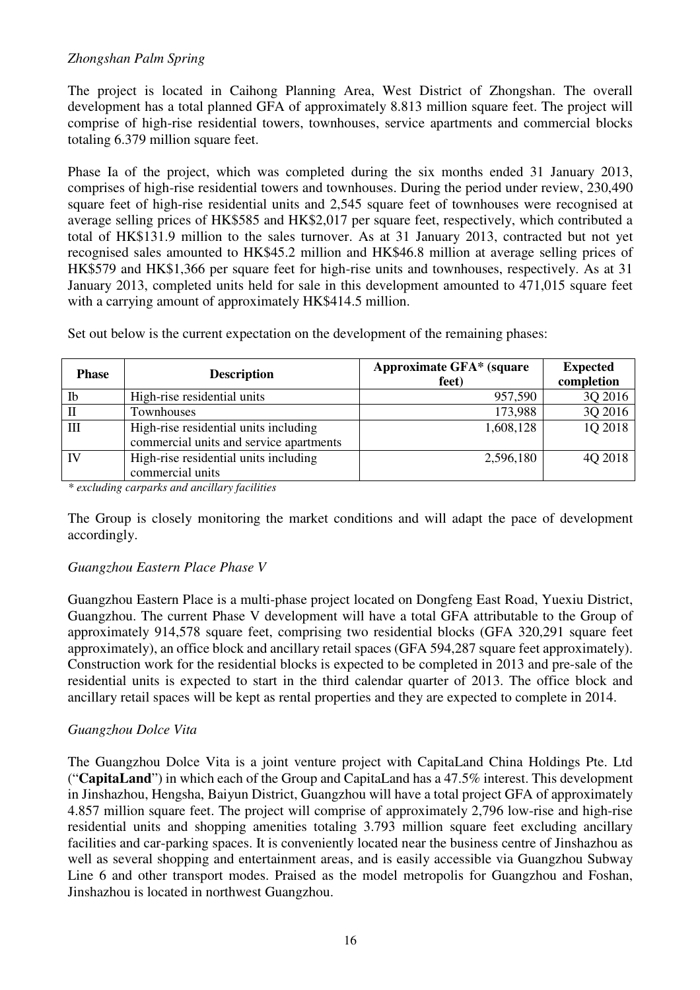## *Zhongshan Palm Spring*

The project is located in Caihong Planning Area, West District of Zhongshan. The overall development has a total planned GFA of approximately 8.813 million square feet. The project will comprise of high-rise residential towers, townhouses, service apartments and commercial blocks totaling 6.379 million square feet.

Phase Ia of the project, which was completed during the six months ended 31 January 2013, comprises of high-rise residential towers and townhouses. During the period under review, 230,490 square feet of high-rise residential units and 2,545 square feet of townhouses were recognised at average selling prices of HK\$585 and HK\$2,017 per square feet, respectively, which contributed a total of HK\$131.9 million to the sales turnover. As at 31 January 2013, contracted but not yet recognised sales amounted to HK\$45.2 million and HK\$46.8 million at average selling prices of HK\$579 and HK\$1,366 per square feet for high-rise units and townhouses, respectively. As at 31 January 2013, completed units held for sale in this development amounted to 471,015 square feet with a carrying amount of approximately HK\$414.5 million.

| <b>Phase</b>       | <b>Description</b>                                                               | <b>Approximate GFA*</b> (square<br>feet) | <b>Expected</b><br>completion |
|--------------------|----------------------------------------------------------------------------------|------------------------------------------|-------------------------------|
| Ib                 | High-rise residential units                                                      | 957,590                                  | 3Q 2016                       |
| $\mathbf{I}$       | Townhouses                                                                       | 173,988                                  | 3Q 2016                       |
| $\mathop{\rm III}$ | High-rise residential units including<br>commercial units and service apartments | 1,608,128                                | 1Q 2018                       |
| $\mathbf{N}$       | High-rise residential units including<br>commercial units                        | 2,596,180                                | 4Q 2018                       |

Set out below is the current expectation on the development of the remaining phases:

*\* excluding carparks and ancillary facilities* 

The Group is closely monitoring the market conditions and will adapt the pace of development accordingly.

#### *Guangzhou Eastern Place Phase V*

Guangzhou Eastern Place is a multi-phase project located on Dongfeng East Road, Yuexiu District, Guangzhou. The current Phase V development will have a total GFA attributable to the Group of approximately 914,578 square feet, comprising two residential blocks (GFA 320,291 square feet approximately), an office block and ancillary retail spaces (GFA 594,287 square feet approximately). Construction work for the residential blocks is expected to be completed in 2013 and pre-sale of the residential units is expected to start in the third calendar quarter of 2013. The office block and ancillary retail spaces will be kept as rental properties and they are expected to complete in 2014.

## *Guangzhou Dolce Vita*

The Guangzhou Dolce Vita is a joint venture project with CapitaLand China Holdings Pte. Ltd ("**CapitaLand**") in which each of the Group and CapitaLand has a 47.5% interest. This development in Jinshazhou, Hengsha, Baiyun District, Guangzhou will have a total project GFA of approximately 4.857 million square feet. The project will comprise of approximately 2,796 low-rise and high-rise residential units and shopping amenities totaling 3.793 million square feet excluding ancillary facilities and car-parking spaces. It is conveniently located near the business centre of Jinshazhou as well as several shopping and entertainment areas, and is easily accessible via Guangzhou Subway Line 6 and other transport modes. Praised as the model metropolis for Guangzhou and Foshan, Jinshazhou is located in northwest Guangzhou.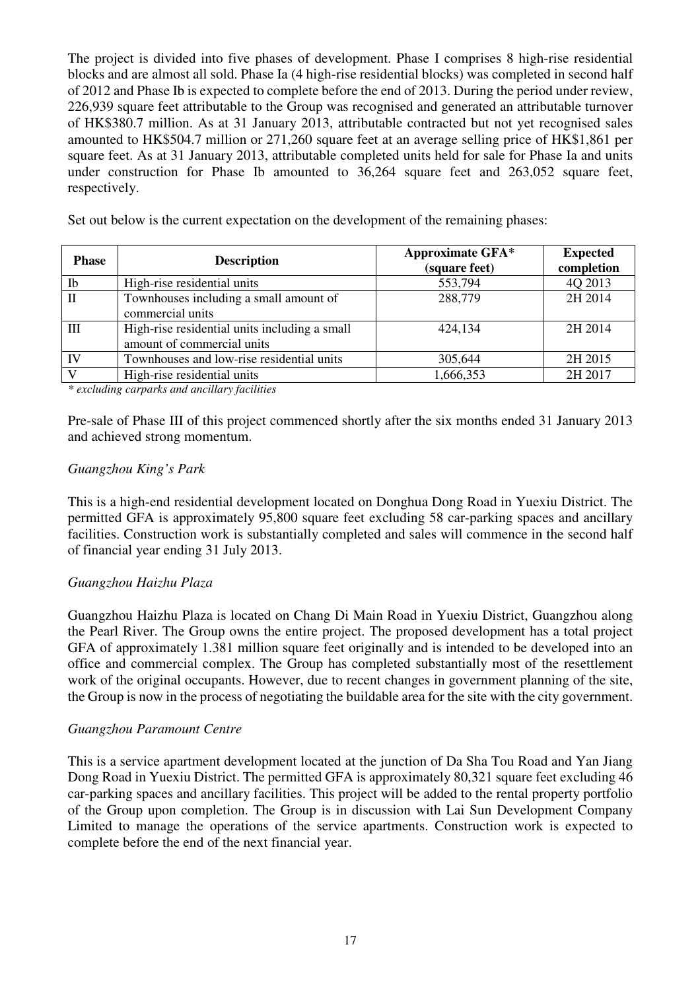The project is divided into five phases of development. Phase I comprises 8 high-rise residential blocks and are almost all sold. Phase Ia (4 high-rise residential blocks) was completed in second half of 2012 and Phase Ib is expected to complete before the end of 2013. During the period under review, 226,939 square feet attributable to the Group was recognised and generated an attributable turnover of HK\$380.7 million. As at 31 January 2013, attributable contracted but not yet recognised sales amounted to HK\$504.7 million or 271,260 square feet at an average selling price of HK\$1,861 per square feet. As at 31 January 2013, attributable completed units held for sale for Phase Ia and units under construction for Phase Ib amounted to 36,264 square feet and 263,052 square feet, respectively.

Set out below is the current expectation on the development of the remaining phases:

| <b>Phase</b> | <b>Description</b>                                                          | <b>Approximate GFA*</b><br>(square feet) | <b>Expected</b><br>completion |
|--------------|-----------------------------------------------------------------------------|------------------------------------------|-------------------------------|
| Ib           | High-rise residential units                                                 | 553,794                                  | 4Q 2013                       |
| $\mathbf{I}$ | Townhouses including a small amount of<br>commercial units                  | 288,779                                  | 2H 2014                       |
| Ш            | High-rise residential units including a small<br>amount of commercial units | 424,134                                  | 2H 2014                       |
| IV           | Townhouses and low-rise residential units                                   | 305,644                                  | 2H 2015                       |
| $\mathbf{V}$ | High-rise residential units                                                 | 1,666,353                                | 2H 2017                       |

*\* excluding carparks and ancillary facilities* 

Pre-sale of Phase III of this project commenced shortly after the six months ended 31 January 2013 and achieved strong momentum.

### *Guangzhou King's Park*

This is a high-end residential development located on Donghua Dong Road in Yuexiu District. The permitted GFA is approximately 95,800 square feet excluding 58 car-parking spaces and ancillary facilities. Construction work is substantially completed and sales will commence in the second half of financial year ending 31 July 2013.

## *Guangzhou Haizhu Plaza*

Guangzhou Haizhu Plaza is located on Chang Di Main Road in Yuexiu District, Guangzhou along the Pearl River. The Group owns the entire project. The proposed development has a total project GFA of approximately 1.381 million square feet originally and is intended to be developed into an office and commercial complex. The Group has completed substantially most of the resettlement work of the original occupants. However, due to recent changes in government planning of the site, the Group is now in the process of negotiating the buildable area for the site with the city government.

#### *Guangzhou Paramount Centre*

This is a service apartment development located at the junction of Da Sha Tou Road and Yan Jiang Dong Road in Yuexiu District. The permitted GFA is approximately 80,321 square feet excluding 46 car-parking spaces and ancillary facilities. This project will be added to the rental property portfolio of the Group upon completion. The Group is in discussion with Lai Sun Development Company Limited to manage the operations of the service apartments. Construction work is expected to complete before the end of the next financial year.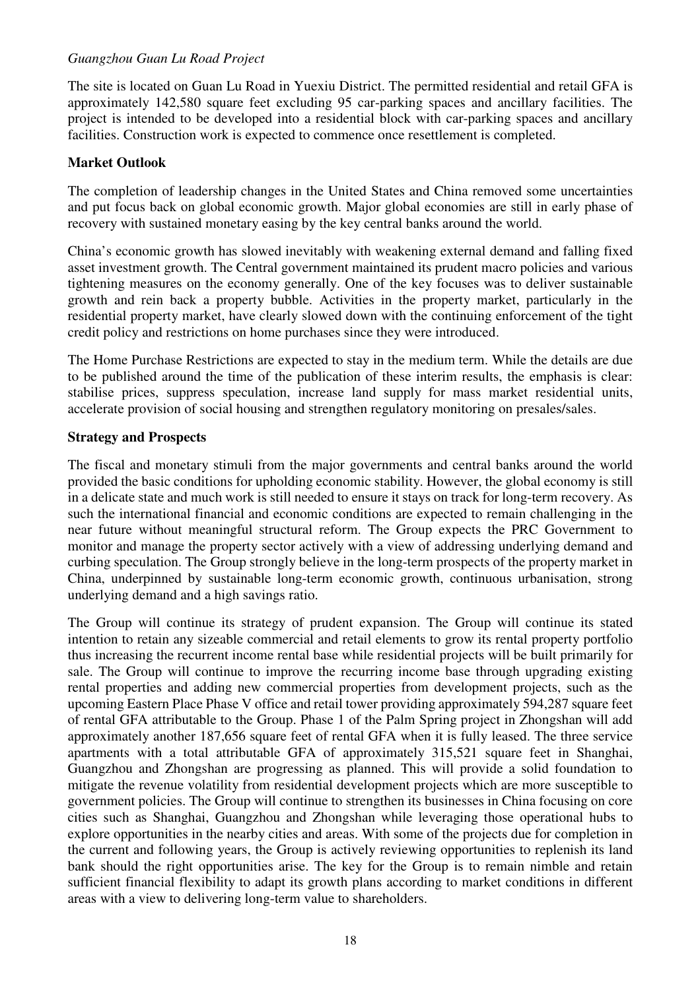## *Guangzhou Guan Lu Road Project*

The site is located on Guan Lu Road in Yuexiu District. The permitted residential and retail GFA is approximately 142,580 square feet excluding 95 car-parking spaces and ancillary facilities. The project is intended to be developed into a residential block with car-parking spaces and ancillary facilities. Construction work is expected to commence once resettlement is completed.

## **Market Outlook**

The completion of leadership changes in the United States and China removed some uncertainties and put focus back on global economic growth. Major global economies are still in early phase of recovery with sustained monetary easing by the key central banks around the world.

China's economic growth has slowed inevitably with weakening external demand and falling fixed asset investment growth. The Central government maintained its prudent macro policies and various tightening measures on the economy generally. One of the key focuses was to deliver sustainable growth and rein back a property bubble. Activities in the property market, particularly in the residential property market, have clearly slowed down with the continuing enforcement of the tight credit policy and restrictions on home purchases since they were introduced.

The Home Purchase Restrictions are expected to stay in the medium term. While the details are due to be published around the time of the publication of these interim results, the emphasis is clear: stabilise prices, suppress speculation, increase land supply for mass market residential units, accelerate provision of social housing and strengthen regulatory monitoring on presales/sales.

### **Strategy and Prospects**

The fiscal and monetary stimuli from the major governments and central banks around the world provided the basic conditions for upholding economic stability. However, the global economy is still in a delicate state and much work is still needed to ensure it stays on track for long-term recovery. As such the international financial and economic conditions are expected to remain challenging in the near future without meaningful structural reform. The Group expects the PRC Government to monitor and manage the property sector actively with a view of addressing underlying demand and curbing speculation. The Group strongly believe in the long-term prospects of the property market in China, underpinned by sustainable long-term economic growth, continuous urbanisation, strong underlying demand and a high savings ratio.

The Group will continue its strategy of prudent expansion. The Group will continue its stated intention to retain any sizeable commercial and retail elements to grow its rental property portfolio thus increasing the recurrent income rental base while residential projects will be built primarily for sale. The Group will continue to improve the recurring income base through upgrading existing rental properties and adding new commercial properties from development projects, such as the upcoming Eastern Place Phase V office and retail tower providing approximately 594,287 square feet of rental GFA attributable to the Group. Phase 1 of the Palm Spring project in Zhongshan will add approximately another 187,656 square feet of rental GFA when it is fully leased. The three service apartments with a total attributable GFA of approximately 315,521 square feet in Shanghai, Guangzhou and Zhongshan are progressing as planned. This will provide a solid foundation to mitigate the revenue volatility from residential development projects which are more susceptible to government policies. The Group will continue to strengthen its businesses in China focusing on core cities such as Shanghai, Guangzhou and Zhongshan while leveraging those operational hubs to explore opportunities in the nearby cities and areas. With some of the projects due for completion in the current and following years, the Group is actively reviewing opportunities to replenish its land bank should the right opportunities arise. The key for the Group is to remain nimble and retain sufficient financial flexibility to adapt its growth plans according to market conditions in different areas with a view to delivering long-term value to shareholders.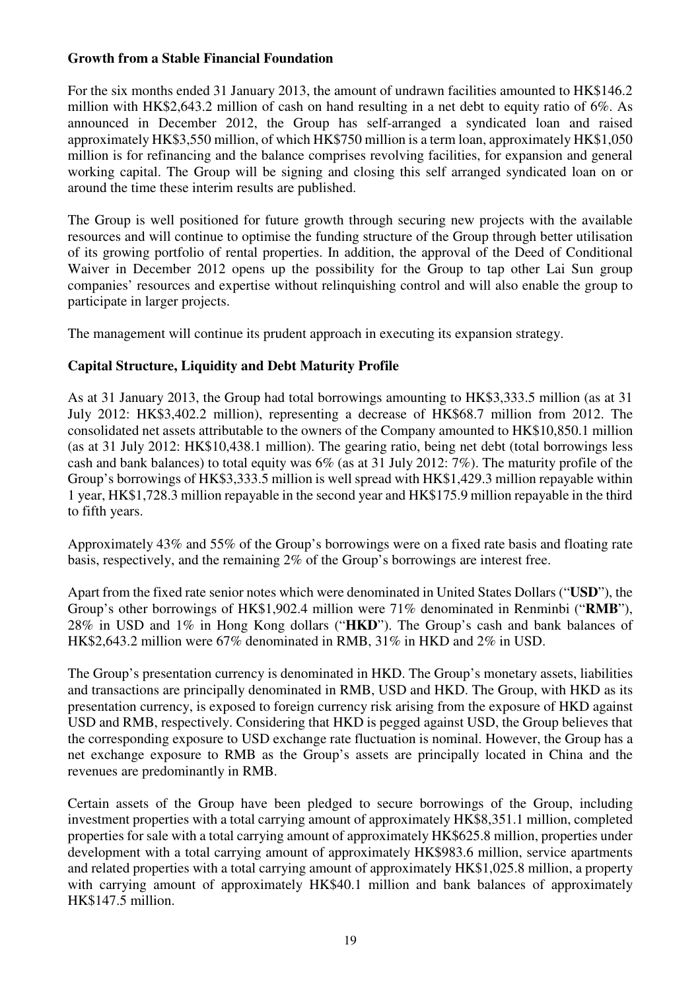### **Growth from a Stable Financial Foundation**

For the six months ended 31 January 2013, the amount of undrawn facilities amounted to HK\$146.2 million with HK\$2,643.2 million of cash on hand resulting in a net debt to equity ratio of 6%. As announced in December 2012, the Group has self-arranged a syndicated loan and raised approximately HK\$3,550 million, of which HK\$750 million is a term loan, approximately HK\$1,050 million is for refinancing and the balance comprises revolving facilities, for expansion and general working capital. The Group will be signing and closing this self arranged syndicated loan on or around the time these interim results are published.

The Group is well positioned for future growth through securing new projects with the available resources and will continue to optimise the funding structure of the Group through better utilisation of its growing portfolio of rental properties. In addition, the approval of the Deed of Conditional Waiver in December 2012 opens up the possibility for the Group to tap other Lai Sun group companies' resources and expertise without relinquishing control and will also enable the group to participate in larger projects.

The management will continue its prudent approach in executing its expansion strategy.

## **Capital Structure, Liquidity and Debt Maturity Profile**

As at 31 January 2013, the Group had total borrowings amounting to HK\$3,333.5 million (as at 31 July 2012: HK\$3,402.2 million), representing a decrease of HK\$68.7 million from 2012. The consolidated net assets attributable to the owners of the Company amounted to HK\$10,850.1 million (as at 31 July 2012: HK\$10,438.1 million). The gearing ratio, being net debt (total borrowings less cash and bank balances) to total equity was 6% (as at 31 July 2012: 7%). The maturity profile of the Group's borrowings of HK\$3,333.5 million is well spread with HK\$1,429.3 million repayable within 1 year, HK\$1,728.3 million repayable in the second year and HK\$175.9 million repayable in the third to fifth years.

Approximately 43% and 55% of the Group's borrowings were on a fixed rate basis and floating rate basis, respectively, and the remaining 2% of the Group's borrowings are interest free.

Apart from the fixed rate senior notes which were denominated in United States Dollars ("**USD**"), the Group's other borrowings of HK\$1,902.4 million were 71% denominated in Renminbi ("**RMB**"), 28% in USD and 1% in Hong Kong dollars ("**HKD**"). The Group's cash and bank balances of HK\$2,643.2 million were 67% denominated in RMB, 31% in HKD and 2% in USD.

The Group's presentation currency is denominated in HKD. The Group's monetary assets, liabilities and transactions are principally denominated in RMB, USD and HKD. The Group, with HKD as its presentation currency, is exposed to foreign currency risk arising from the exposure of HKD against USD and RMB, respectively. Considering that HKD is pegged against USD, the Group believes that the corresponding exposure to USD exchange rate fluctuation is nominal. However, the Group has a net exchange exposure to RMB as the Group's assets are principally located in China and the revenues are predominantly in RMB.

Certain assets of the Group have been pledged to secure borrowings of the Group, including investment properties with a total carrying amount of approximately HK\$8,351.1 million, completed properties for sale with a total carrying amount of approximately HK\$625.8 million, properties under development with a total carrying amount of approximately HK\$983.6 million, service apartments and related properties with a total carrying amount of approximately HK\$1,025.8 million, a property with carrying amount of approximately HK\$40.1 million and bank balances of approximately HK\$147.5 million.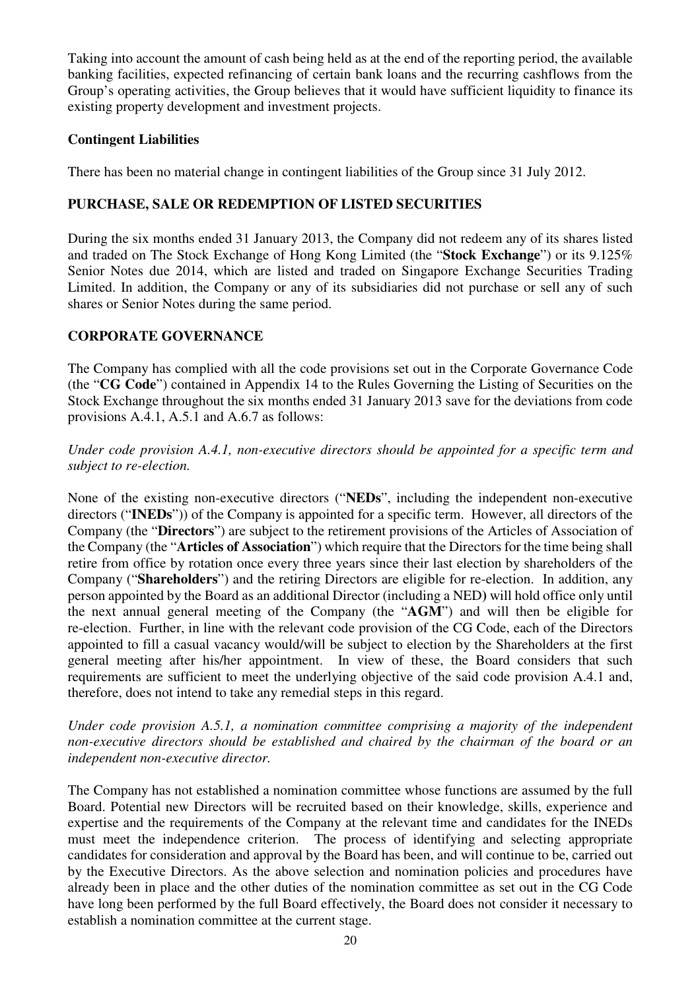Taking into account the amount of cash being held as at the end of the reporting period, the available banking facilities, expected refinancing of certain bank loans and the recurring cashflows from the Group's operating activities, the Group believes that it would have sufficient liquidity to finance its existing property development and investment projects.

## **Contingent Liabilities**

There has been no material change in contingent liabilities of the Group since 31 July 2012.

## **PURCHASE, SALE OR REDEMPTION OF LISTED SECURITIES**

During the six months ended 31 January 2013, the Company did not redeem any of its shares listed and traded on The Stock Exchange of Hong Kong Limited (the "**Stock Exchange**") or its 9.125% Senior Notes due 2014, which are listed and traded on Singapore Exchange Securities Trading Limited. In addition, the Company or any of its subsidiaries did not purchase or sell any of such shares or Senior Notes during the same period.

## **CORPORATE GOVERNANCE**

The Company has complied with all the code provisions set out in the Corporate Governance Code (the "**CG Code**") contained in Appendix 14 to the Rules Governing the Listing of Securities on the Stock Exchange throughout the six months ended 31 January 2013 save for the deviations from code provisions A.4.1, A.5.1 and A.6.7 as follows:

### *Under code provision A.4.1, non-executive directors should be appointed for a specific term and subject to re-election.*

None of the existing non-executive directors ("**NEDs**", including the independent non-executive directors ("**INEDs**")) of the Company is appointed for a specific term. However, all directors of the Company (the "**Directors**") are subject to the retirement provisions of the Articles of Association of the Company (the "**Articles of Association**") which require that the Directors for the time being shall retire from office by rotation once every three years since their last election by shareholders of the Company ("**Shareholders**") and the retiring Directors are eligible for re-election. In addition, any person appointed by the Board as an additional Director (including a NED**)** will hold office only until the next annual general meeting of the Company (the "**AGM**") and will then be eligible for re-election. Further, in line with the relevant code provision of the CG Code, each of the Directors appointed to fill a casual vacancy would/will be subject to election by the Shareholders at the first general meeting after his/her appointment. In view of these, the Board considers that such requirements are sufficient to meet the underlying objective of the said code provision A.4.1 and, therefore, does not intend to take any remedial steps in this regard.

*Under code provision A.5.1, a nomination committee comprising a majority of the independent non-executive directors should be established and chaired by the chairman of the board or an independent non-executive director.* 

The Company has not established a nomination committee whose functions are assumed by the full Board. Potential new Directors will be recruited based on their knowledge, skills, experience and expertise and the requirements of the Company at the relevant time and candidates for the INEDs must meet the independence criterion. The process of identifying and selecting appropriate candidates for consideration and approval by the Board has been, and will continue to be, carried out by the Executive Directors. As the above selection and nomination policies and procedures have already been in place and the other duties of the nomination committee as set out in the CG Code have long been performed by the full Board effectively, the Board does not consider it necessary to establish a nomination committee at the current stage.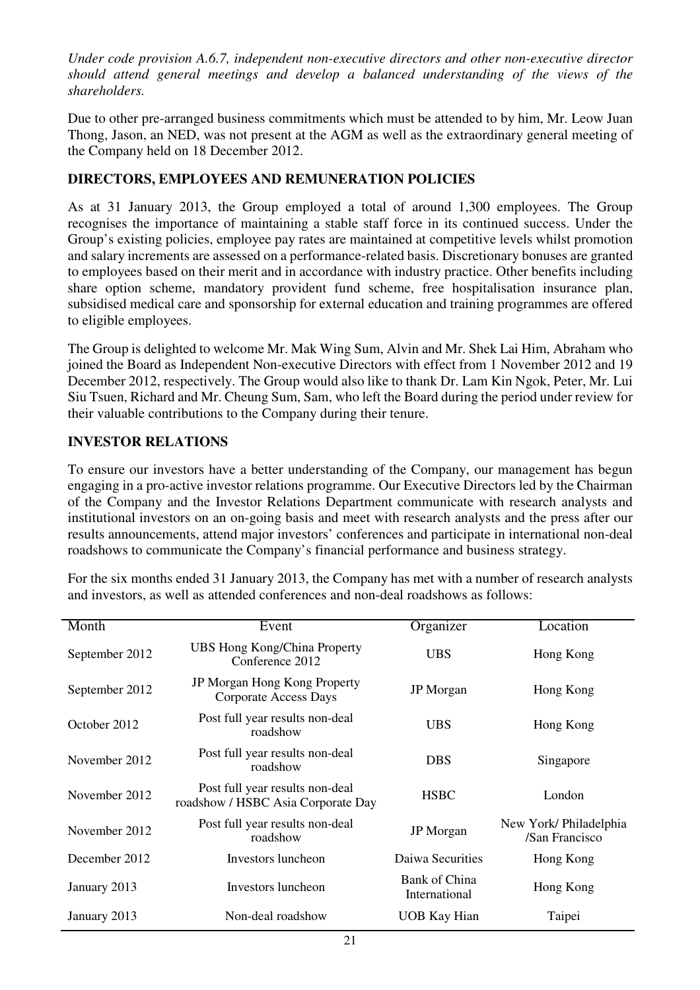*Under code provision A.6.7, independent non-executive directors and other non-executive director should attend general meetings and develop a balanced understanding of the views of the shareholders.*

Due to other pre-arranged business commitments which must be attended to by him, Mr. Leow Juan Thong, Jason, an NED, was not present at the AGM as well as the extraordinary general meeting of the Company held on 18 December 2012.

# **DIRECTORS, EMPLOYEES AND REMUNERATION POLICIES**

As at 31 January 2013, the Group employed a total of around 1,300 employees. The Group recognises the importance of maintaining a stable staff force in its continued success. Under the Group's existing policies, employee pay rates are maintained at competitive levels whilst promotion and salary increments are assessed on a performance-related basis. Discretionary bonuses are granted to employees based on their merit and in accordance with industry practice. Other benefits including share option scheme, mandatory provident fund scheme, free hospitalisation insurance plan, subsidised medical care and sponsorship for external education and training programmes are offered to eligible employees.

The Group is delighted to welcome Mr. Mak Wing Sum, Alvin and Mr. Shek Lai Him, Abraham who joined the Board as Independent Non-executive Directors with effect from 1 November 2012 and 19 December 2012, respectively. The Group would also like to thank Dr. Lam Kin Ngok, Peter, Mr. Lui Siu Tsuen, Richard and Mr. Cheung Sum, Sam, who left the Board during the period under review for their valuable contributions to the Company during their tenure.

# **INVESTOR RELATIONS**

To ensure our investors have a better understanding of the Company, our management has begun engaging in a pro-active investor relations programme. Our Executive Directors led by the Chairman of the Company and the Investor Relations Department communicate with research analysts and institutional investors on an on-going basis and meet with research analysts and the press after our results announcements, attend major investors' conferences and participate in international non-deal roadshows to communicate the Company's financial performance and business strategy.

For the six months ended 31 January 2013, the Company has met with a number of research analysts and investors, as well as attended conferences and non-deal roadshows as follows:

| Month          | Event                                                                 | Organizer                      | Location                                |
|----------------|-----------------------------------------------------------------------|--------------------------------|-----------------------------------------|
| September 2012 | <b>UBS Hong Kong/China Property</b><br>Conference 2012                | <b>UBS</b>                     | Hong Kong                               |
| September 2012 | <b>JP Morgan Hong Kong Property</b><br><b>Corporate Access Days</b>   | <b>JP</b> Morgan               | Hong Kong                               |
| October 2012   | Post full year results non-deal<br>roadshow                           | <b>UBS</b>                     | Hong Kong                               |
| November 2012  | Post full year results non-deal<br>roadshow                           | <b>DBS</b>                     | Singapore                               |
| November 2012  | Post full year results non-deal<br>roadshow / HSBC Asia Corporate Day | <b>HSBC</b>                    | London                                  |
| November 2012  | Post full year results non-deal<br>roadshow                           | <b>JP</b> Morgan               | New York/Philadelphia<br>/San Francisco |
| December 2012  | Investors luncheon                                                    | Daiwa Securities               | Hong Kong                               |
| January 2013   | Investors luncheon                                                    | Bank of China<br>International | Hong Kong                               |
| January 2013   | Non-deal roadshow                                                     | UOB Kay Hian                   | Taipei                                  |
|                |                                                                       |                                |                                         |